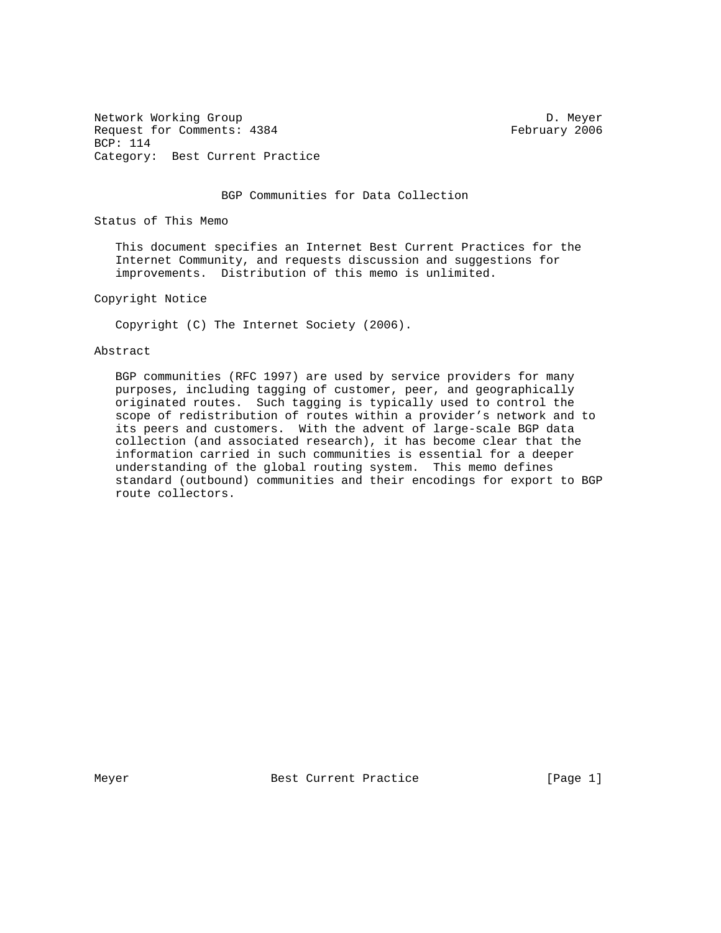Network Working Group Development of the United States of D. Meyer Request for Comments: 4384 February 2006 BCP: 114 Category: Best Current Practice

BGP Communities for Data Collection

Status of This Memo

 This document specifies an Internet Best Current Practices for the Internet Community, and requests discussion and suggestions for improvements. Distribution of this memo is unlimited.

Copyright Notice

Copyright (C) The Internet Society (2006).

#### Abstract

 BGP communities (RFC 1997) are used by service providers for many purposes, including tagging of customer, peer, and geographically originated routes. Such tagging is typically used to control the scope of redistribution of routes within a provider's network and to its peers and customers. With the advent of large-scale BGP data collection (and associated research), it has become clear that the information carried in such communities is essential for a deeper understanding of the global routing system. This memo defines standard (outbound) communities and their encodings for export to BGP route collectors.

Meyer Best Current Practice The Rege 1]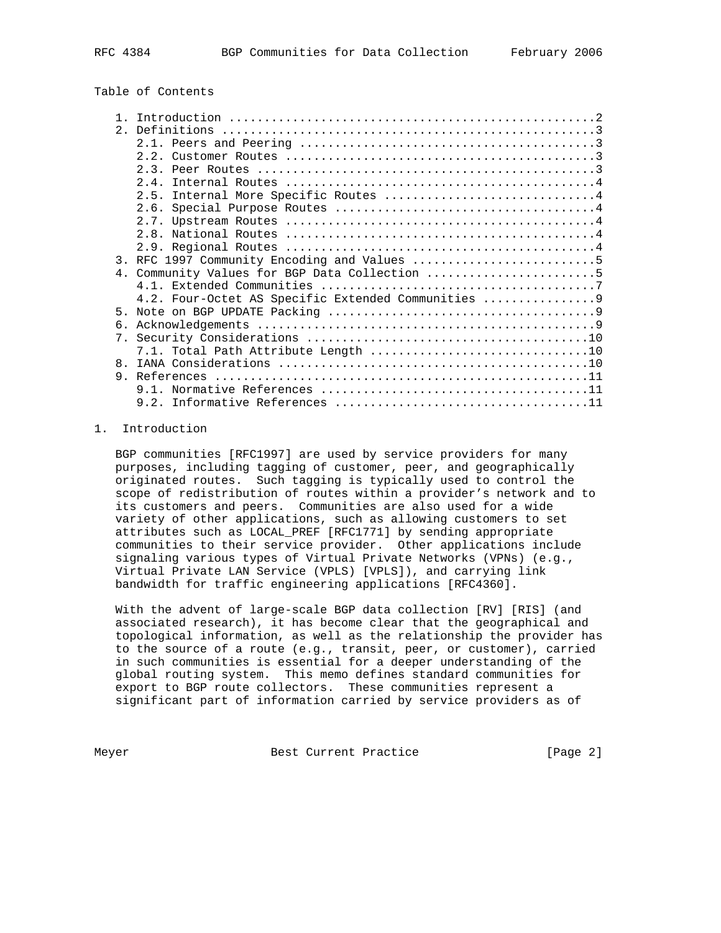# Table of Contents

|              | 3. RFC 1997 Community Encoding and Values 5        |
|--------------|----------------------------------------------------|
|              | 4. Community Values for BGP Data Collection 5      |
|              |                                                    |
|              | 4.2. Four-Octet AS Specific Extended Communities 9 |
| 5.           |                                                    |
| б.           |                                                    |
|              |                                                    |
|              |                                                    |
| $\mathsf{R}$ |                                                    |
| 9            |                                                    |
|              |                                                    |
|              |                                                    |

# 1. Introduction

 BGP communities [RFC1997] are used by service providers for many purposes, including tagging of customer, peer, and geographically originated routes. Such tagging is typically used to control the scope of redistribution of routes within a provider's network and to its customers and peers. Communities are also used for a wide variety of other applications, such as allowing customers to set attributes such as LOCAL\_PREF [RFC1771] by sending appropriate communities to their service provider. Other applications include signaling various types of Virtual Private Networks (VPNs) (e.g., Virtual Private LAN Service (VPLS) [VPLS]), and carrying link bandwidth for traffic engineering applications [RFC4360].

 With the advent of large-scale BGP data collection [RV] [RIS] (and associated research), it has become clear that the geographical and topological information, as well as the relationship the provider has to the source of a route (e.g., transit, peer, or customer), carried in such communities is essential for a deeper understanding of the global routing system. This memo defines standard communities for export to BGP route collectors. These communities represent a significant part of information carried by service providers as of

Meyer Best Current Practice [Page 2]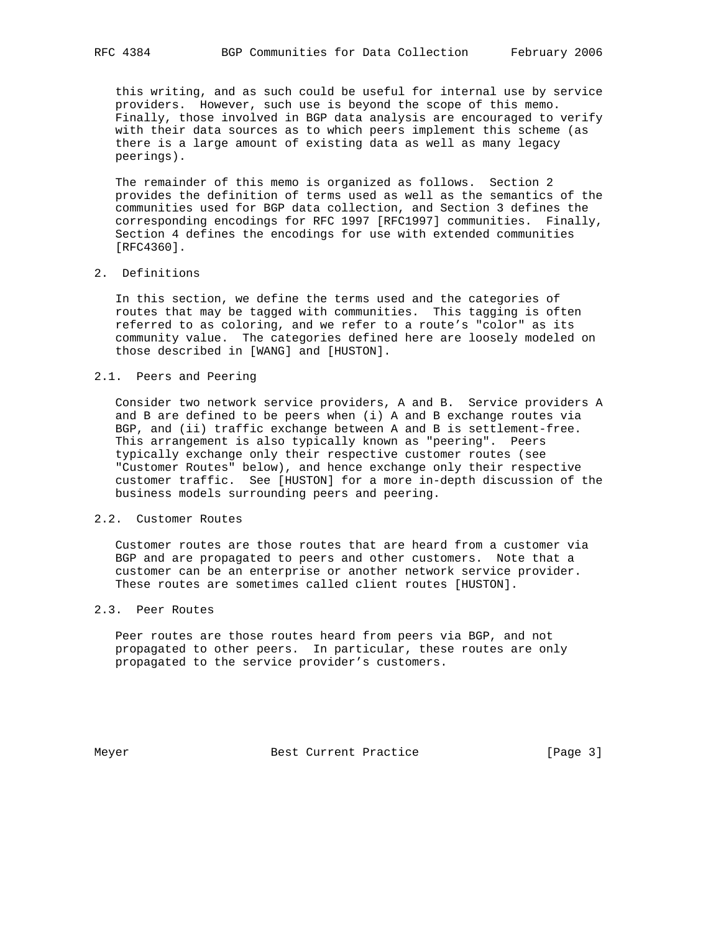this writing, and as such could be useful for internal use by service providers. However, such use is beyond the scope of this memo. Finally, those involved in BGP data analysis are encouraged to verify with their data sources as to which peers implement this scheme (as there is a large amount of existing data as well as many legacy peerings).

 The remainder of this memo is organized as follows. Section 2 provides the definition of terms used as well as the semantics of the communities used for BGP data collection, and Section 3 defines the corresponding encodings for RFC 1997 [RFC1997] communities. Finally, Section 4 defines the encodings for use with extended communities [RFC4360].

# 2. Definitions

 In this section, we define the terms used and the categories of routes that may be tagged with communities. This tagging is often referred to as coloring, and we refer to a route's "color" as its community value. The categories defined here are loosely modeled on those described in [WANG] and [HUSTON].

### 2.1. Peers and Peering

 Consider two network service providers, A and B. Service providers A and B are defined to be peers when (i) A and B exchange routes via BGP, and (ii) traffic exchange between A and B is settlement-free. This arrangement is also typically known as "peering". Peers typically exchange only their respective customer routes (see "Customer Routes" below), and hence exchange only their respective customer traffic. See [HUSTON] for a more in-depth discussion of the business models surrounding peers and peering.

### 2.2. Customer Routes

 Customer routes are those routes that are heard from a customer via BGP and are propagated to peers and other customers. Note that a customer can be an enterprise or another network service provider. These routes are sometimes called client routes [HUSTON].

## 2.3. Peer Routes

 Peer routes are those routes heard from peers via BGP, and not propagated to other peers. In particular, these routes are only propagated to the service provider's customers.

Meyer Best Current Practice [Page 3]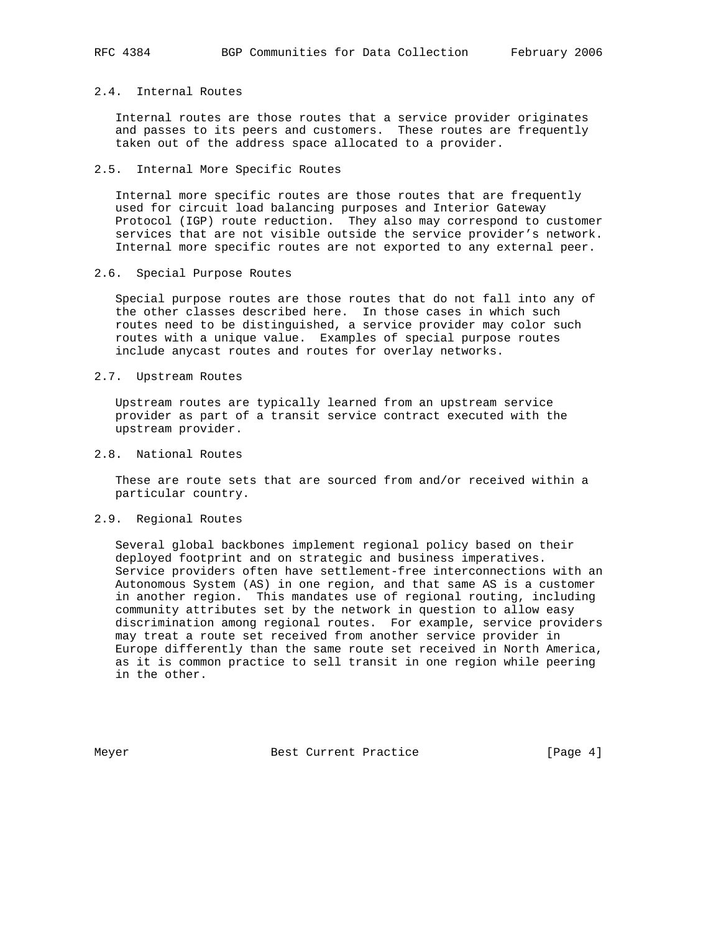## 2.4. Internal Routes

 Internal routes are those routes that a service provider originates and passes to its peers and customers. These routes are frequently taken out of the address space allocated to a provider.

## 2.5. Internal More Specific Routes

 Internal more specific routes are those routes that are frequently used for circuit load balancing purposes and Interior Gateway Protocol (IGP) route reduction. They also may correspond to customer services that are not visible outside the service provider's network. Internal more specific routes are not exported to any external peer.

2.6. Special Purpose Routes

 Special purpose routes are those routes that do not fall into any of the other classes described here. In those cases in which such routes need to be distinguished, a service provider may color such routes with a unique value. Examples of special purpose routes include anycast routes and routes for overlay networks.

### 2.7. Upstream Routes

 Upstream routes are typically learned from an upstream service provider as part of a transit service contract executed with the upstream provider.

# 2.8. National Routes

 These are route sets that are sourced from and/or received within a particular country.

# 2.9. Regional Routes

 Several global backbones implement regional policy based on their deployed footprint and on strategic and business imperatives. Service providers often have settlement-free interconnections with an Autonomous System (AS) in one region, and that same AS is a customer in another region. This mandates use of regional routing, including community attributes set by the network in question to allow easy discrimination among regional routes. For example, service providers may treat a route set received from another service provider in Europe differently than the same route set received in North America, as it is common practice to sell transit in one region while peering in the other.

Meyer Best Current Practice [Page 4]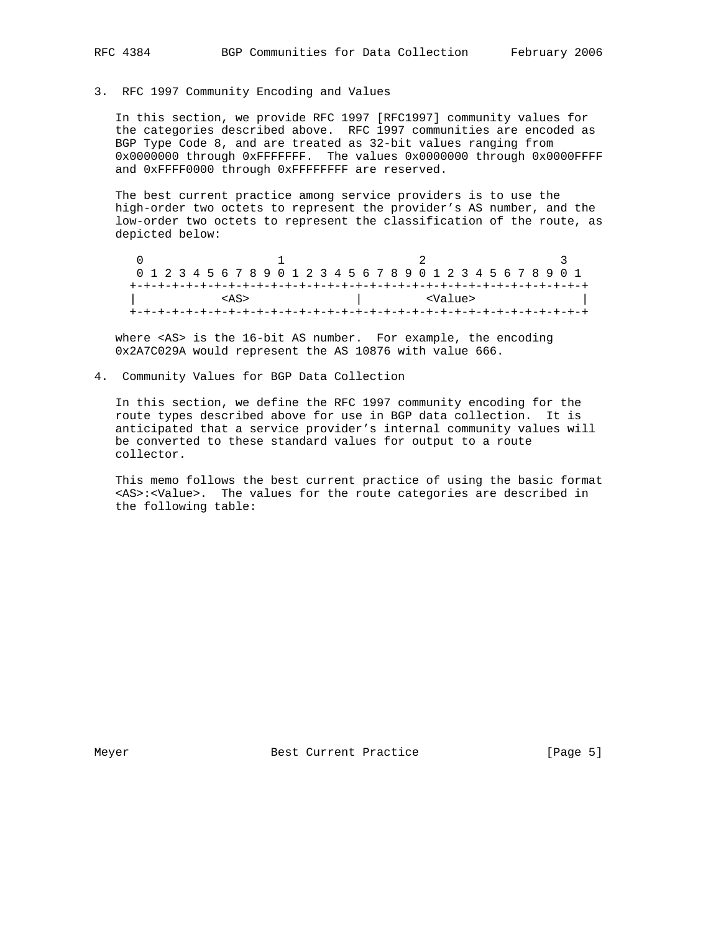3. RFC 1997 Community Encoding and Values

 In this section, we provide RFC 1997 [RFC1997] community values for the categories described above. RFC 1997 communities are encoded as BGP Type Code 8, and are treated as 32-bit values ranging from 0x0000000 through 0xFFFFFFF. The values 0x0000000 through 0x0000FFFF and 0xFFFF0000 through 0xFFFFFFFF are reserved.

 The best current practice among service providers is to use the high-order two octets to represent the provider's AS number, and the low-order two octets to represent the classification of the route, as depicted below:

 $0$  and  $1$  and  $2$  3 0 1 2 3 4 5 6 7 8 9 0 1 2 3 4 5 6 7 8 9 0 1 2 3 4 5 6 7 8 9 0 1 +-+-+-+-+-+-+-+-+-+-+-+-+-+-+-+-+-+-+-+-+-+-+-+-+-+-+-+-+-+-+-+-+ | <Value> +-+-+-+-+-+-+-+-+-+-+-+-+-+-+-+-+-+-+-+-+-+-+-+-+-+-+-+-+-+-+-+-+

 where <AS> is the 16-bit AS number. For example, the encoding 0x2A7C029A would represent the AS 10876 with value 666.

4. Community Values for BGP Data Collection

 In this section, we define the RFC 1997 community encoding for the route types described above for use in BGP data collection. It is anticipated that a service provider's internal community values will be converted to these standard values for output to a route collector.

 This memo follows the best current practice of using the basic format <AS>:<Value>. The values for the route categories are described in the following table:

Meyer Best Current Practice [Page 5]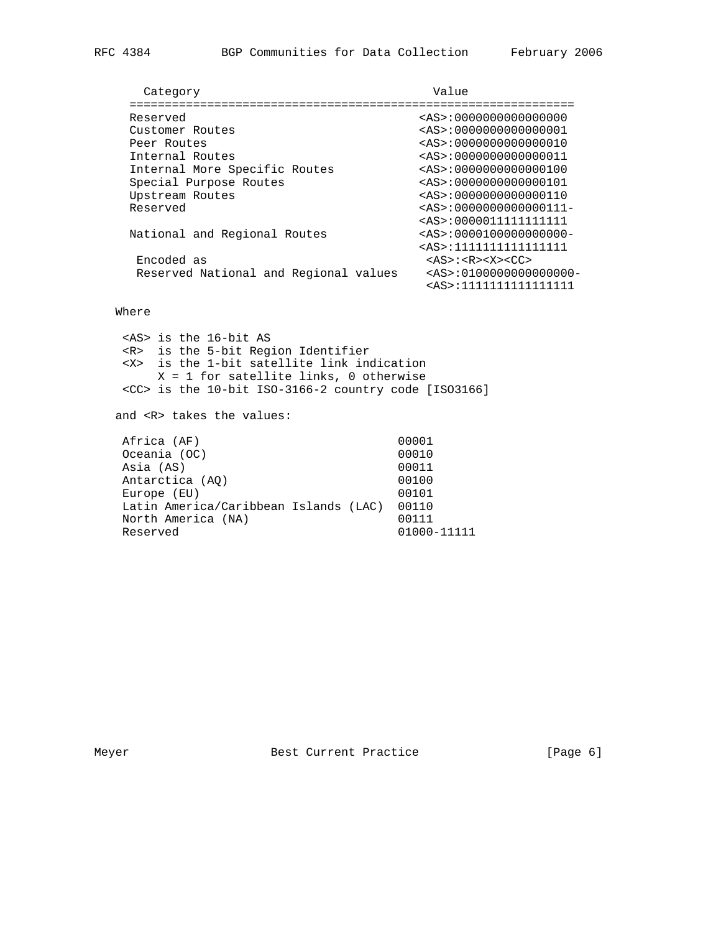| Category                              | Value                                     |
|---------------------------------------|-------------------------------------------|
|                                       |                                           |
| Reserved                              | $\langle AS \rangle : 0000000000000000$   |
| Customer Routes                       | $\langle AS \rangle : 0000000000000001$   |
| Peer Routes                           | $\langle AS \rangle : 0000000000000010$   |
| Internal Routes                       | $\langle AS \rangle : 0000000000000011$   |
| Internal More Specific Routes         | $\langle AS \rangle : 0000000000000100$   |
| Special Purpose Routes                | $\langle AS \rangle : 0000000000000101$   |
| Upstream Routes                       | $\langle AS \rangle : 0000000000000110$   |
| Reserved                              | $\langle AS \rangle : 0000000000000111 -$ |
|                                       | <as>:00000111111111111</as>               |
| National and Regional Routes          | $\langle AS \rangle : 0000100000000000 -$ |
|                                       | <as>:1111111111111111</as>                |
| Encoded as                            | $$ : $$ $<$ X> $<$ CC>                    |
| Reserved National and Regional values | $\langle AS \rangle : 0100000000000000 -$ |
|                                       | <as>:1111111111111111</as>                |

# Where

 <AS> is the 16-bit AS <R> is the 5-bit Region Identifier <X> is the 1-bit satellite link indication X = 1 for satellite links, 0 otherwise <CC> is the 10-bit ISO-3166-2 country code [ISO3166] and <R> takes the values: Africa (AF) 00001<br>Oceania (OC) 00010 Oceania (OC) 00010<br>Asia (AS) 00011 Asia (AS) 00011<br>Antarctica (AQ) 00100 Antarctica (AQ) Europe (EU) 00101 Latin America/Caribbean Islands (LAC) 00110 North America (NA) 00111<br>Reserved 01000-01000-11111

Meyer Best Current Practice [Page 6]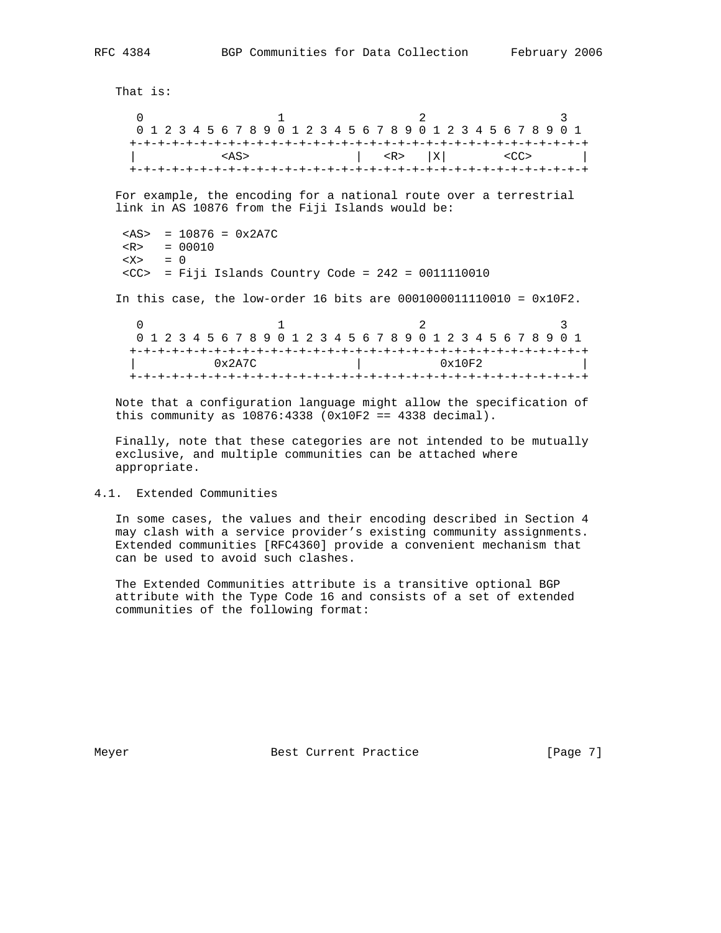That is:  $0$  1 2 0 1 2 3 4 5 6 7 8 9 0 1 2 3 4 5 6 7 8 9 0 1 2 3 4 5 6 7 8 9 0 1 +-+-+-+-+-+-+-+-+-+-+-+-+-+-+-+-+-+-+-+-+-+-+-+-+-+-+-+-+-+-+-+-+ | <AS> | <R> |X| <CC> | +-+-+-+-+-+-+-+-+-+-+-+-+-+-+-+-+-+-+-+-+-+-+-+-+-+-+-+-+-+-+-+-+ For example, the encoding for a national route over a terrestrial link in AS 10876 from the Fiji Islands would be:  $<$ AS> = 10876 = 0x2A7C  $R > 00010$  <X> = 0  $<$ CC> = Fiji Islands Country Code = 242 = 0011110010 In this case, the low-order 16 bits are 0001000011110010 = 0x10F2.  $0$  and  $1$  and  $2$  3 0 1 2 3 4 5 6 7 8 9 0 1 2 3 4 5 6 7 8 9 0 1 2 3 4 5 6 7 8 9 0 1 +-+-+-+-+-+-+-+-+-+-+-+-+-+-+-+-+-+-+-+-+-+-+-+-+-+-+-+-+-+-+-+-+

 Note that a configuration language might allow the specification of this community as  $10876:4338$   $(0x10F2 == 4338 decimal)$ .

+-+-+-+-+-+-+-+-+-+-+-+-+-+-+-+-+-+-+-+-+-+-+-+-+-+-+-+-+-+-+-+-+

| 0x2A7C | 0x10F2

 Finally, note that these categories are not intended to be mutually exclusive, and multiple communities can be attached where appropriate.

4.1. Extended Communities

 In some cases, the values and their encoding described in Section 4 may clash with a service provider's existing community assignments. Extended communities [RFC4360] provide a convenient mechanism that can be used to avoid such clashes.

 The Extended Communities attribute is a transitive optional BGP attribute with the Type Code 16 and consists of a set of extended communities of the following format:

Meyer Best Current Practice [Page 7]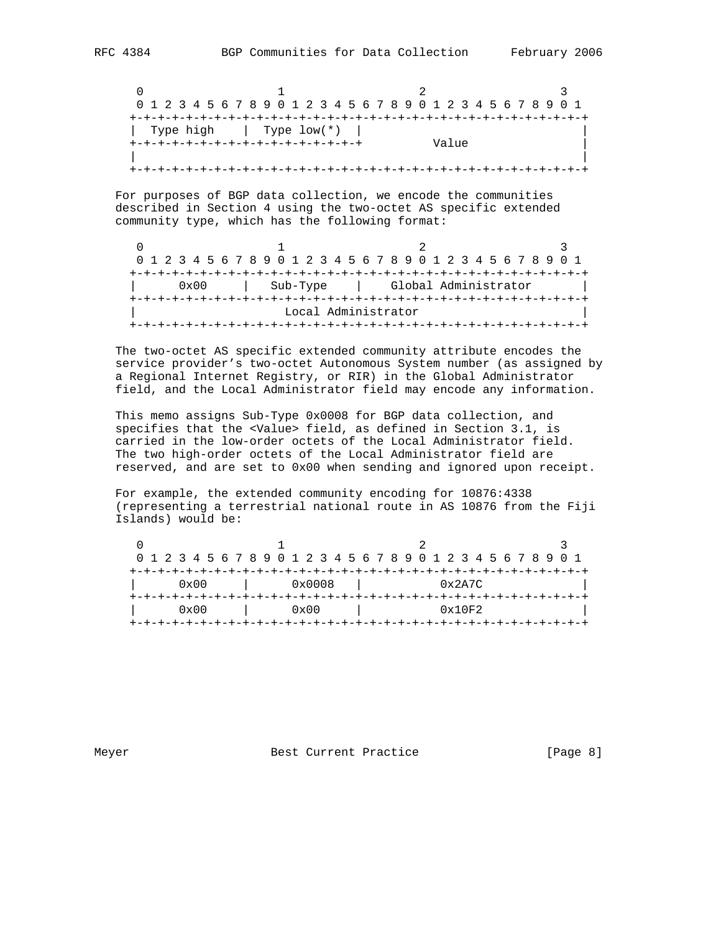$0$  and  $1$  and  $2$  3 0 1 2 3 4 5 6 7 8 9 0 1 2 3 4 5 6 7 8 9 0 1 2 3 4 5 6 7 8 9 0 1 +-+-+-+-+-+-+-+-+-+-+-+-+-+-+-+-+-+-+-+-+-+-+-+-+-+-+-+-+-+-+-+-+ | Type high | Type low(\*) | | +-+-+-+-+-+-+-+-+-+-+-+-+-+-+-+-+ Value | | | +-+-+-+-+-+-+-+-+-+-+-+-+-+-+-+-+-+-+-+-+-+-+-+-+-+-+-+-+-+-+-+-+

 For purposes of BGP data collection, we encode the communities described in Section 4 using the two-octet AS specific extended community type, which has the following format:

|  |  |               |  |  |          |  |  |  |                     |  | 0 1 2 3 4 5 6 7 8 9 0 1 2 3 4 5 6 7 8 9 0 1 2 3 4 5 6 7 8 9 0 1 |  |  |  |  |  |  |
|--|--|---------------|--|--|----------|--|--|--|---------------------|--|-----------------------------------------------------------------|--|--|--|--|--|--|
|  |  |               |  |  |          |  |  |  |                     |  |                                                                 |  |  |  |  |  |  |
|  |  | $0 \times 00$ |  |  | Sub-Type |  |  |  |                     |  | Global Administrator                                            |  |  |  |  |  |  |
|  |  |               |  |  |          |  |  |  |                     |  |                                                                 |  |  |  |  |  |  |
|  |  |               |  |  |          |  |  |  | Local Administrator |  |                                                                 |  |  |  |  |  |  |
|  |  |               |  |  |          |  |  |  |                     |  |                                                                 |  |  |  |  |  |  |

 The two-octet AS specific extended community attribute encodes the service provider's two-octet Autonomous System number (as assigned by a Regional Internet Registry, or RIR) in the Global Administrator field, and the Local Administrator field may encode any information.

 This memo assigns Sub-Type 0x0008 for BGP data collection, and specifies that the <Value> field, as defined in Section 3.1, is carried in the low-order octets of the Local Administrator field. The two high-order octets of the Local Administrator field are reserved, and are set to 0x00 when sending and ignored upon receipt.

 For example, the extended community encoding for 10876:4338 (representing a terrestrial national route in AS 10876 from the Fiji Islands) would be:

|  |  |               |  | 0 1 2 3 4 5 6 7 8 9 0 1 2 3 4 5 6 7 8 9 0 1 2 3 4 5 6 7 8 9 0 1 |  |               |  |  |                  |  |  |        |  |  |  |  |  |
|--|--|---------------|--|-----------------------------------------------------------------|--|---------------|--|--|------------------|--|--|--------|--|--|--|--|--|
|  |  |               |  |                                                                 |  |               |  |  | -+-+-+-+-+-+-+-+ |  |  |        |  |  |  |  |  |
|  |  | $0 \times 00$ |  |                                                                 |  | 0x0008        |  |  |                  |  |  | 0x2A7C |  |  |  |  |  |
|  |  |               |  |                                                                 |  |               |  |  |                  |  |  |        |  |  |  |  |  |
|  |  | $0 \times 00$ |  |                                                                 |  | $0 \times 00$ |  |  |                  |  |  | 0x10F2 |  |  |  |  |  |
|  |  |               |  |                                                                 |  |               |  |  |                  |  |  |        |  |  |  |  |  |

Meyer Best Current Practice [Page 8]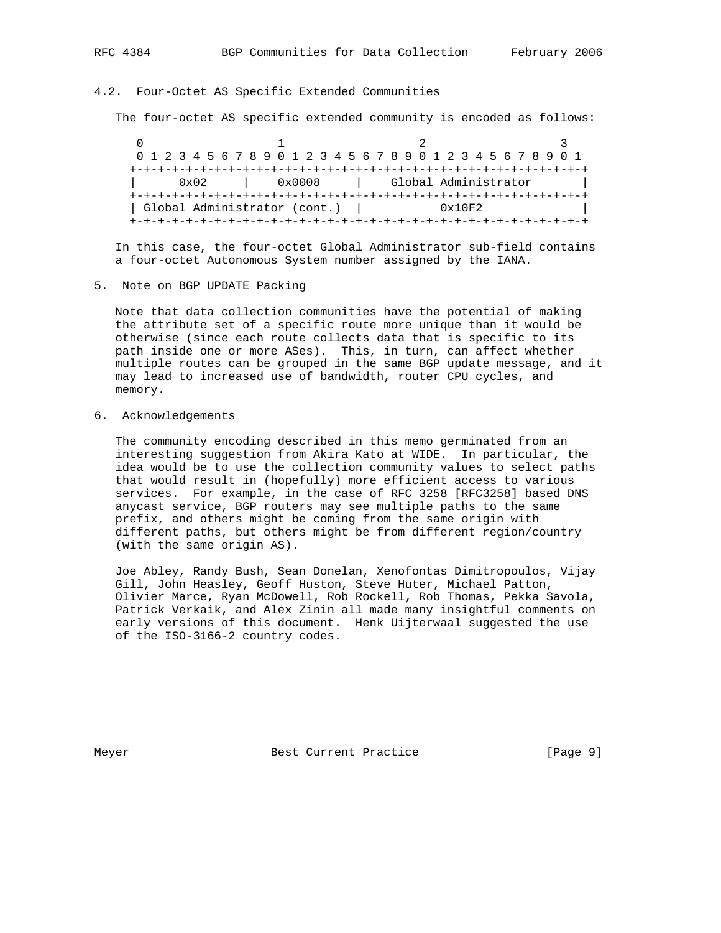#### 4.2. Four-Octet AS Specific Extended Communities

The four-octet AS specific extended community is encoded as follows:

 $0$  and  $1$  and  $2$  3 0 1 2 3 4 5 6 7 8 9 0 1 2 3 4 5 6 7 8 9 0 1 2 3 4 5 6 7 8 9 0 1 +-+-+-+-+-+-+-+-+-+-+-+-+-+-+-+-+-+-+-+-+-+-+-+-+-+-+-+-+-+-+-+-+ | 0x02 | 0x0008 | Global Administrator | +-+-+-+-+-+-+-+-+-+-+-+-+-+-+-+-+-+-+-+-+-+-+-+-+-+-+-+-+-+-+-+-+ | Global Administrator (cont.) | 0x10F2 | +-+-+-+-+-+-+-+-+-+-+-+-+-+-+-+-+-+-+-+-+-+-+-+-+-+-+-+-+-+-+-+-+

 In this case, the four-octet Global Administrator sub-field contains a four-octet Autonomous System number assigned by the IANA.

5. Note on BGP UPDATE Packing

 Note that data collection communities have the potential of making the attribute set of a specific route more unique than it would be otherwise (since each route collects data that is specific to its path inside one or more ASes). This, in turn, can affect whether multiple routes can be grouped in the same BGP update message, and it may lead to increased use of bandwidth, router CPU cycles, and memory.

6. Acknowledgements

 The community encoding described in this memo germinated from an interesting suggestion from Akira Kato at WIDE. In particular, the idea would be to use the collection community values to select paths that would result in (hopefully) more efficient access to various services. For example, in the case of RFC 3258 [RFC3258] based DNS anycast service, BGP routers may see multiple paths to the same prefix, and others might be coming from the same origin with different paths, but others might be from different region/country (with the same origin AS).

 Joe Abley, Randy Bush, Sean Donelan, Xenofontas Dimitropoulos, Vijay Gill, John Heasley, Geoff Huston, Steve Huter, Michael Patton, Olivier Marce, Ryan McDowell, Rob Rockell, Rob Thomas, Pekka Savola, Patrick Verkaik, and Alex Zinin all made many insightful comments on early versions of this document. Henk Uijterwaal suggested the use of the ISO-3166-2 country codes.

Meyer Best Current Practice [Page 9]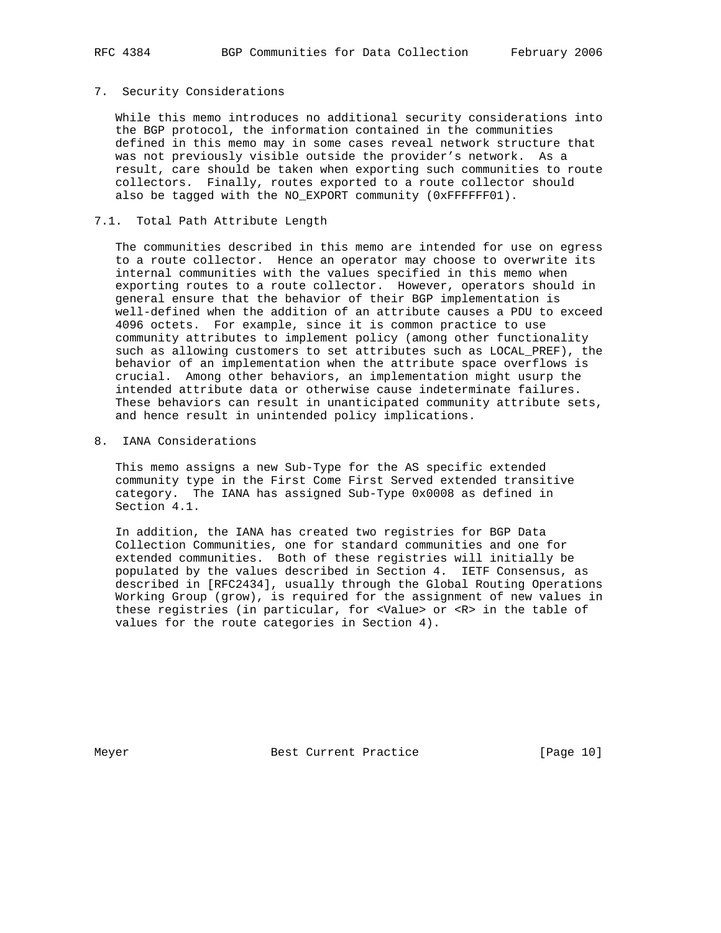## 7. Security Considerations

 While this memo introduces no additional security considerations into the BGP protocol, the information contained in the communities defined in this memo may in some cases reveal network structure that was not previously visible outside the provider's network. As a result, care should be taken when exporting such communities to route collectors. Finally, routes exported to a route collector should also be tagged with the NO\_EXPORT community (0xFFFFFF01).

## 7.1. Total Path Attribute Length

 The communities described in this memo are intended for use on egress to a route collector. Hence an operator may choose to overwrite its internal communities with the values specified in this memo when exporting routes to a route collector. However, operators should in general ensure that the behavior of their BGP implementation is well-defined when the addition of an attribute causes a PDU to exceed 4096 octets. For example, since it is common practice to use community attributes to implement policy (among other functionality such as allowing customers to set attributes such as LOCAL\_PREF), the behavior of an implementation when the attribute space overflows is crucial. Among other behaviors, an implementation might usurp the intended attribute data or otherwise cause indeterminate failures. These behaviors can result in unanticipated community attribute sets, and hence result in unintended policy implications.

8. IANA Considerations

 This memo assigns a new Sub-Type for the AS specific extended community type in the First Come First Served extended transitive category. The IANA has assigned Sub-Type 0x0008 as defined in Section 4.1.

 In addition, the IANA has created two registries for BGP Data Collection Communities, one for standard communities and one for extended communities. Both of these registries will initially be populated by the values described in Section 4. IETF Consensus, as described in [RFC2434], usually through the Global Routing Operations Working Group (grow), is required for the assignment of new values in these registries (in particular, for <Value> or <R> in the table of values for the route categories in Section 4).

Meyer Best Current Practice [Page 10]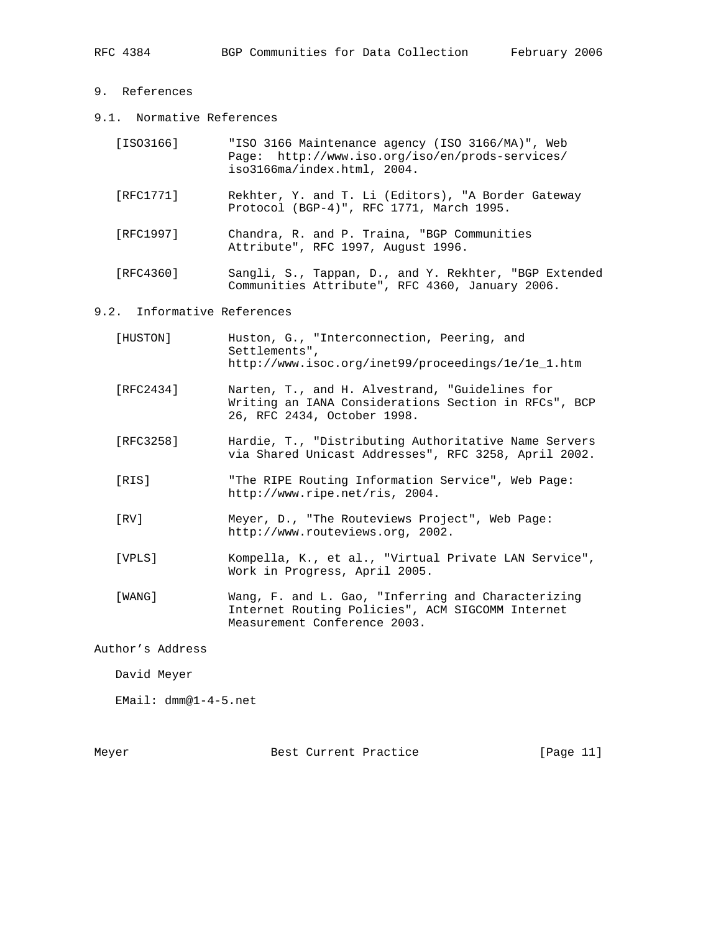- 9. References
- 9.1. Normative References

| [ISO3166] | "ISO 3166 Maintenance agency (ISO 3166/MA)", Web<br>Page: http://www.iso.org/iso/en/prods-services/<br>iso3166ma/index.html, 2004. |
|-----------|------------------------------------------------------------------------------------------------------------------------------------|
| [RFC1771] | Rekhter, Y. and T. Li (Editors), "A Border Gateway<br>Protocol (BGP-4)", RFC 1771, March 1995.                                     |
| [RFC1997] | Chandra, R. and P. Traina, "BGP Communities<br>Attribute", RFC 1997, August 1996.                                                  |

 [RFC4360] Sangli, S., Tappan, D., and Y. Rekhter, "BGP Extended Communities Attribute", RFC 4360, January 2006.

# 9.2. Informative References

| [HUSTON]  | Huston, G., "Interconnection, Peering, and<br>Settlements",<br>http://www.isoc.org/inet99/proceedings/le/le_1.htm                      |
|-----------|----------------------------------------------------------------------------------------------------------------------------------------|
| [RFC2434] | Narten, T., and H. Alvestrand, "Guidelines for<br>Writing an IANA Considerations Section in RFCs", BCP<br>26, RFC 2434, October 1998.  |
| [RFC3258] | Hardie, T., "Distributing Authoritative Name Servers<br>via Shared Unicast Addresses", RFC 3258, April 2002.                           |
| [RIS]     | "The RIPE Routing Information Service", Web Page:<br>http://www.ripe.net/ris, 2004.                                                    |
| [RV]      | Meyer, D., "The Routeviews Project", Web Page:<br>http://www.routeviews.org, 2002.                                                     |
| [VPLS]    | Kompella, K., et al., "Virtual Private LAN Service",<br>Work in Progress, April 2005.                                                  |
| [WANG]    | Wang, F. and L. Gao, "Inferring and Characterizing<br>Internet Routing Policies", ACM SIGCOMM Internet<br>Measurement Conference 2003. |

Author's Address

David Meyer

EMail: dmm@1-4-5.net

Meyer Best Current Practice [Page 11]